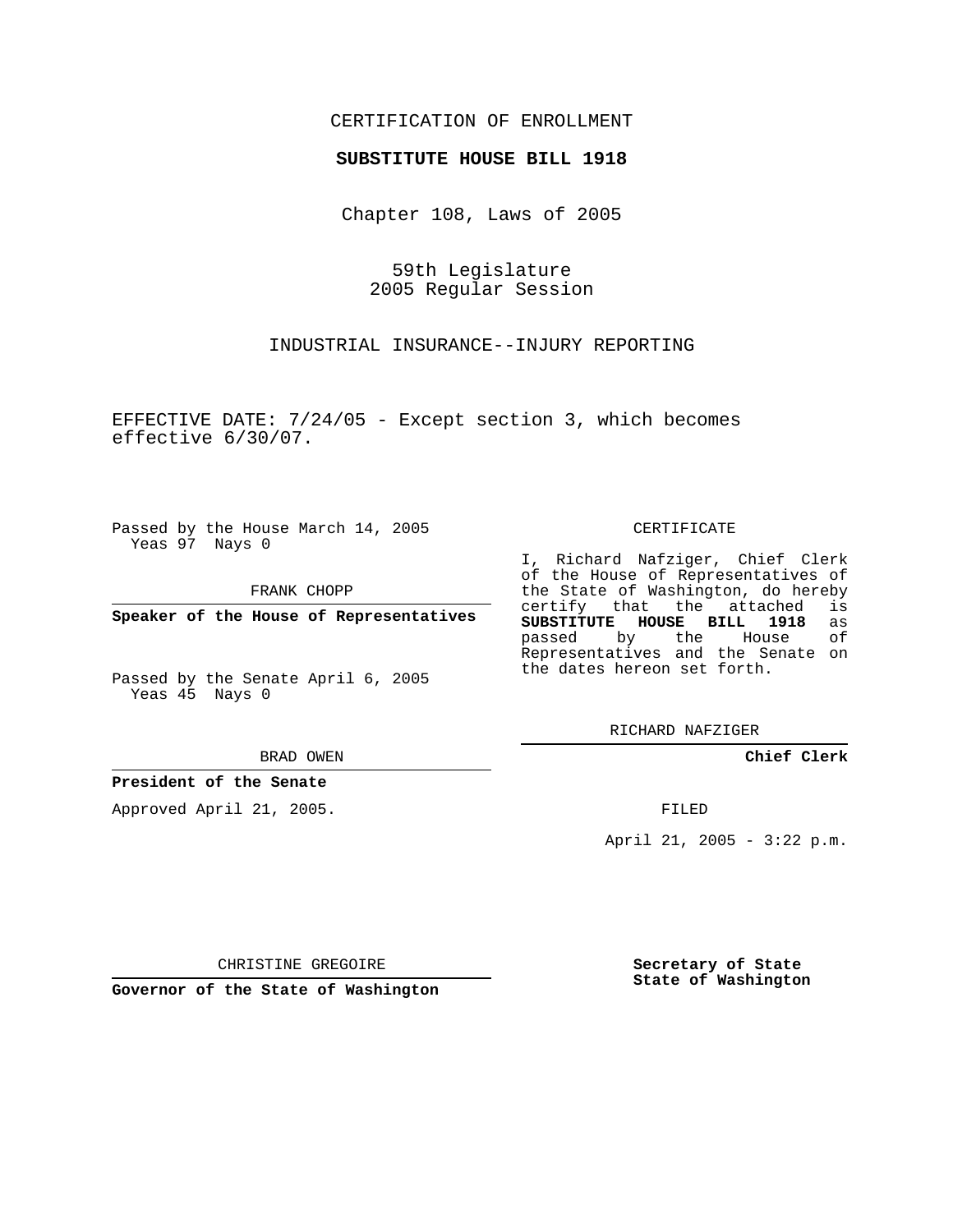## CERTIFICATION OF ENROLLMENT

## **SUBSTITUTE HOUSE BILL 1918**

Chapter 108, Laws of 2005

59th Legislature 2005 Regular Session

INDUSTRIAL INSURANCE--INJURY REPORTING

EFFECTIVE DATE: 7/24/05 - Except section 3, which becomes effective 6/30/07.

Passed by the House March 14, 2005 Yeas 97 Nays 0

FRANK CHOPP

**Speaker of the House of Representatives**

Passed by the Senate April 6, 2005 Yeas 45 Nays 0

BRAD OWEN

**President of the Senate**

Approved April 21, 2005.

CERTIFICATE

I, Richard Nafziger, Chief Clerk of the House of Representatives of the State of Washington, do hereby<br>certify that the attached is certify that the attached **SUBSTITUTE HOUSE BILL 1918** as passed by the House of Representatives and the Senate on the dates hereon set forth.

RICHARD NAFZIGER

**Chief Clerk**

FILED

April 21, 2005 - 3:22 p.m.

CHRISTINE GREGOIRE

**Governor of the State of Washington**

**Secretary of State State of Washington**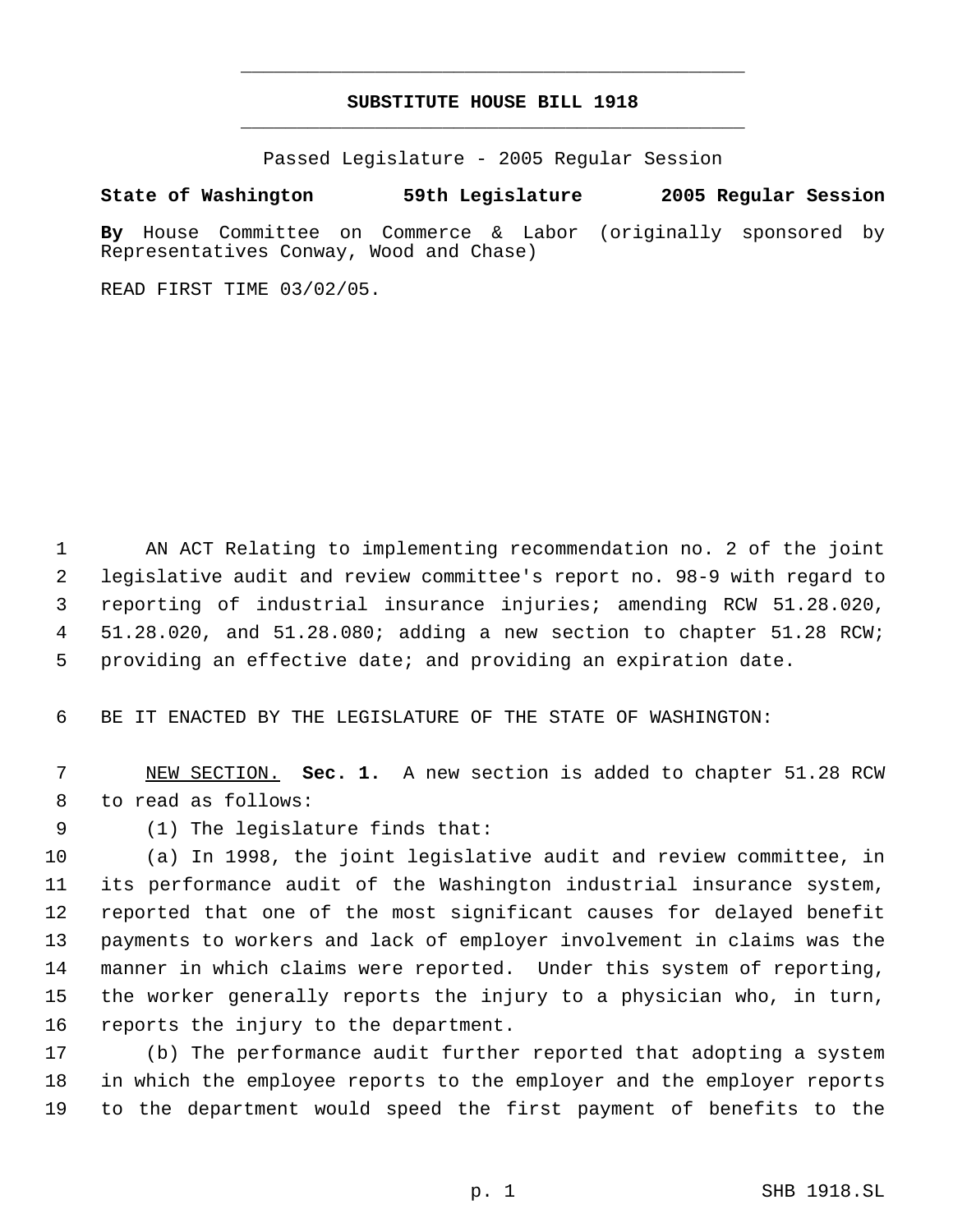## **SUBSTITUTE HOUSE BILL 1918** \_\_\_\_\_\_\_\_\_\_\_\_\_\_\_\_\_\_\_\_\_\_\_\_\_\_\_\_\_\_\_\_\_\_\_\_\_\_\_\_\_\_\_\_\_

\_\_\_\_\_\_\_\_\_\_\_\_\_\_\_\_\_\_\_\_\_\_\_\_\_\_\_\_\_\_\_\_\_\_\_\_\_\_\_\_\_\_\_\_\_

Passed Legislature - 2005 Regular Session

## **State of Washington 59th Legislature 2005 Regular Session**

**By** House Committee on Commerce & Labor (originally sponsored by Representatives Conway, Wood and Chase)

READ FIRST TIME 03/02/05.

 AN ACT Relating to implementing recommendation no. 2 of the joint legislative audit and review committee's report no. 98-9 with regard to reporting of industrial insurance injuries; amending RCW 51.28.020, 51.28.020, and 51.28.080; adding a new section to chapter 51.28 RCW; providing an effective date; and providing an expiration date.

BE IT ENACTED BY THE LEGISLATURE OF THE STATE OF WASHINGTON:

 NEW SECTION. **Sec. 1.** A new section is added to chapter 51.28 RCW to read as follows:

(1) The legislature finds that:

 (a) In 1998, the joint legislative audit and review committee, in its performance audit of the Washington industrial insurance system, reported that one of the most significant causes for delayed benefit payments to workers and lack of employer involvement in claims was the manner in which claims were reported. Under this system of reporting, the worker generally reports the injury to a physician who, in turn, reports the injury to the department.

 (b) The performance audit further reported that adopting a system in which the employee reports to the employer and the employer reports to the department would speed the first payment of benefits to the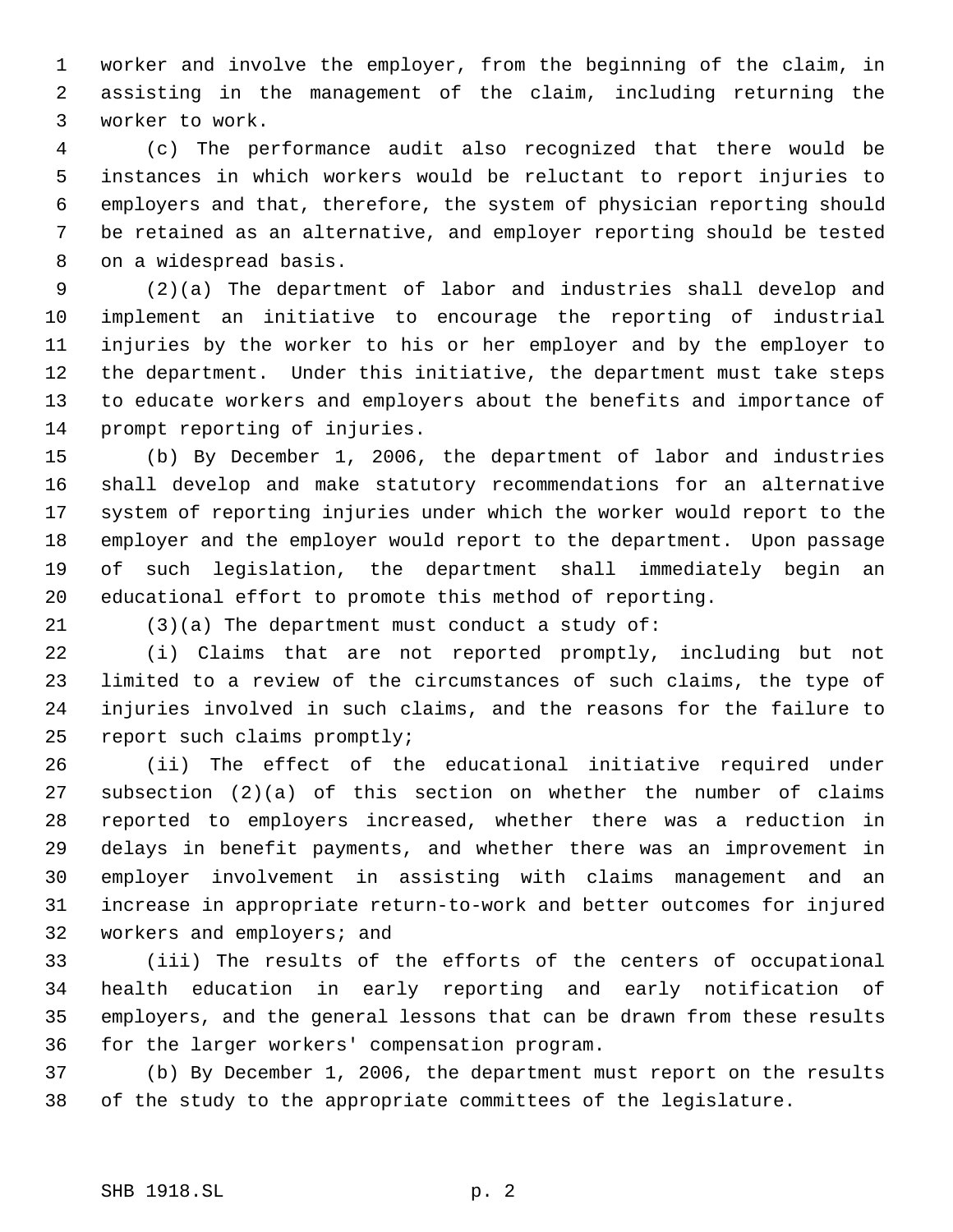worker and involve the employer, from the beginning of the claim, in assisting in the management of the claim, including returning the worker to work.

 (c) The performance audit also recognized that there would be instances in which workers would be reluctant to report injuries to employers and that, therefore, the system of physician reporting should be retained as an alternative, and employer reporting should be tested on a widespread basis.

 (2)(a) The department of labor and industries shall develop and implement an initiative to encourage the reporting of industrial injuries by the worker to his or her employer and by the employer to the department. Under this initiative, the department must take steps to educate workers and employers about the benefits and importance of prompt reporting of injuries.

 (b) By December 1, 2006, the department of labor and industries shall develop and make statutory recommendations for an alternative system of reporting injuries under which the worker would report to the employer and the employer would report to the department. Upon passage of such legislation, the department shall immediately begin an educational effort to promote this method of reporting.

(3)(a) The department must conduct a study of:

 (i) Claims that are not reported promptly, including but not limited to a review of the circumstances of such claims, the type of injuries involved in such claims, and the reasons for the failure to report such claims promptly;

 (ii) The effect of the educational initiative required under subsection (2)(a) of this section on whether the number of claims reported to employers increased, whether there was a reduction in delays in benefit payments, and whether there was an improvement in employer involvement in assisting with claims management and an increase in appropriate return-to-work and better outcomes for injured workers and employers; and

 (iii) The results of the efforts of the centers of occupational health education in early reporting and early notification of employers, and the general lessons that can be drawn from these results for the larger workers' compensation program.

 (b) By December 1, 2006, the department must report on the results of the study to the appropriate committees of the legislature.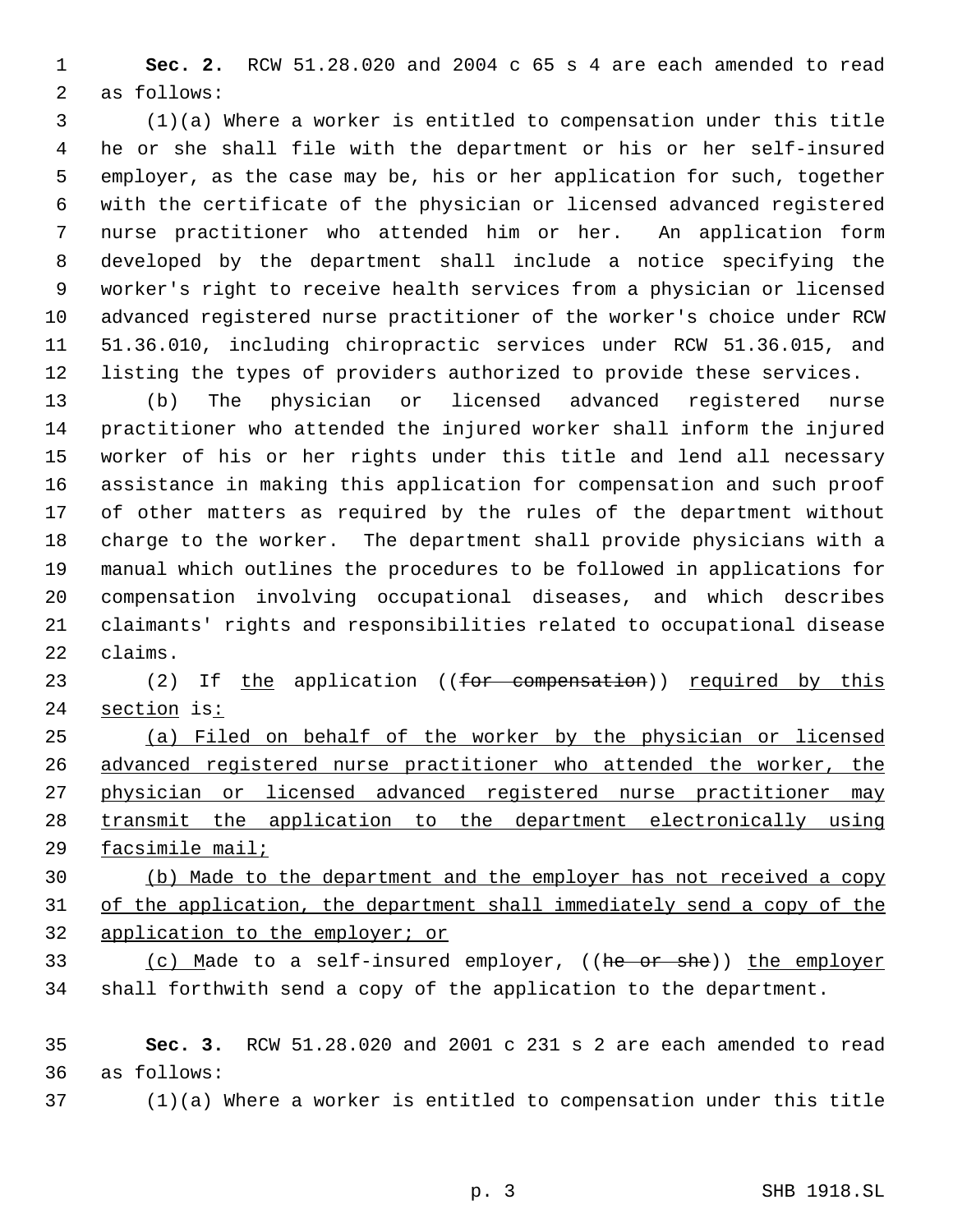**Sec. 2.** RCW 51.28.020 and 2004 c 65 s 4 are each amended to read as follows:

 (1)(a) Where a worker is entitled to compensation under this title he or she shall file with the department or his or her self-insured employer, as the case may be, his or her application for such, together with the certificate of the physician or licensed advanced registered nurse practitioner who attended him or her. An application form developed by the department shall include a notice specifying the worker's right to receive health services from a physician or licensed advanced registered nurse practitioner of the worker's choice under RCW 51.36.010, including chiropractic services under RCW 51.36.015, and listing the types of providers authorized to provide these services.

 (b) The physician or licensed advanced registered nurse practitioner who attended the injured worker shall inform the injured worker of his or her rights under this title and lend all necessary assistance in making this application for compensation and such proof of other matters as required by the rules of the department without charge to the worker. The department shall provide physicians with a manual which outlines the procedures to be followed in applications for compensation involving occupational diseases, and which describes claimants' rights and responsibilities related to occupational disease claims.

23 (2) If the application ((for compensation)) required by this 24 section is:

 (a) Filed on behalf of the worker by the physician or licensed advanced registered nurse practitioner who attended the worker, the physician or licensed advanced registered nurse practitioner may transmit the application to the department electronically using facsimile mail;

 (b) Made to the department and the employer has not received a copy of the application, the department shall immediately send a copy of the application to the employer; or

33 (c) Made to a self-insured employer, ((he or she)) the employer shall forthwith send a copy of the application to the department.

 **Sec. 3.** RCW 51.28.020 and 2001 c 231 s 2 are each amended to read as follows:

(1)(a) Where a worker is entitled to compensation under this title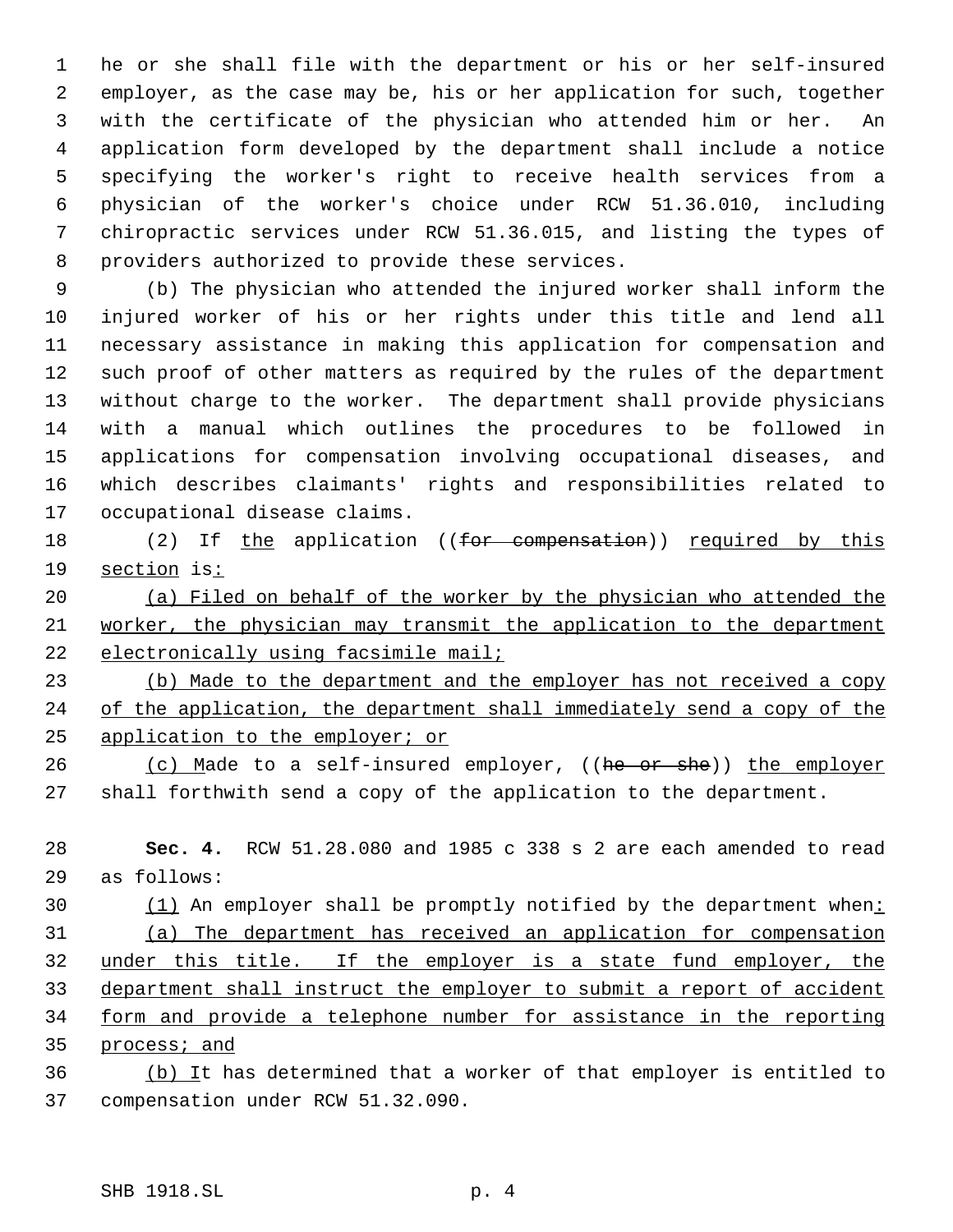he or she shall file with the department or his or her self-insured employer, as the case may be, his or her application for such, together with the certificate of the physician who attended him or her. An application form developed by the department shall include a notice specifying the worker's right to receive health services from a physician of the worker's choice under RCW 51.36.010, including chiropractic services under RCW 51.36.015, and listing the types of providers authorized to provide these services.

 (b) The physician who attended the injured worker shall inform the injured worker of his or her rights under this title and lend all necessary assistance in making this application for compensation and such proof of other matters as required by the rules of the department without charge to the worker. The department shall provide physicians with a manual which outlines the procedures to be followed in applications for compensation involving occupational diseases, and which describes claimants' rights and responsibilities related to occupational disease claims.

18 (2) If the application ((for compensation)) required by this section is:

 (a) Filed on behalf of the worker by the physician who attended the worker, the physician may transmit the application to the department 22 electronically using facsimile mail;

 (b) Made to the department and the employer has not received a copy of the application, the department shall immediately send a copy of the application to the employer; or

26 (c) Made to a self-insured employer, ((he or she)) the employer shall forthwith send a copy of the application to the department.

 **Sec. 4.** RCW 51.28.080 and 1985 c 338 s 2 are each amended to read as follows:

30 (1) An employer shall be promptly notified by the department when: (a) The department has received an application for compensation under this title. If the employer is a state fund employer, the department shall instruct the employer to submit a report of accident form and provide a telephone number for assistance in the reporting process; and

36 (b) It has determined that a worker of that employer is entitled to compensation under RCW 51.32.090.